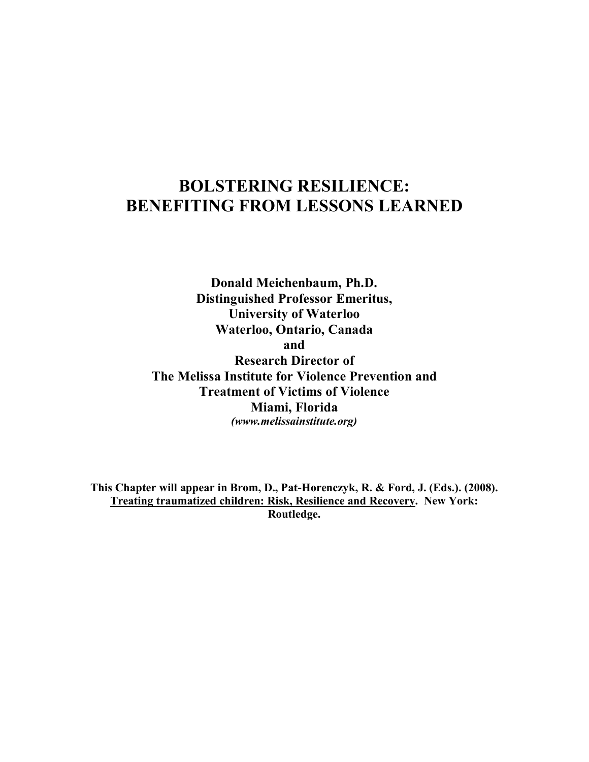## **BOLSTERING RESILIENCE: BENEFITING FROM LESSONS LEARNED**

**Donald Meichenbaum, Ph.D. Distinguished Professor Emeritus, University of Waterloo Waterloo, Ontario, Canada and Research Director of The Melissa Institute for Violence Prevention and Treatment of Victims of Violence Miami, Florida** *(www.melissainstitute.org)*

**This Chapter will appear in Brom, D., Pat-Horenczyk, R. & Ford, J. (Eds.). (2008). Treating traumatized children: Risk, Resilience and Recovery. New York: Routledge.**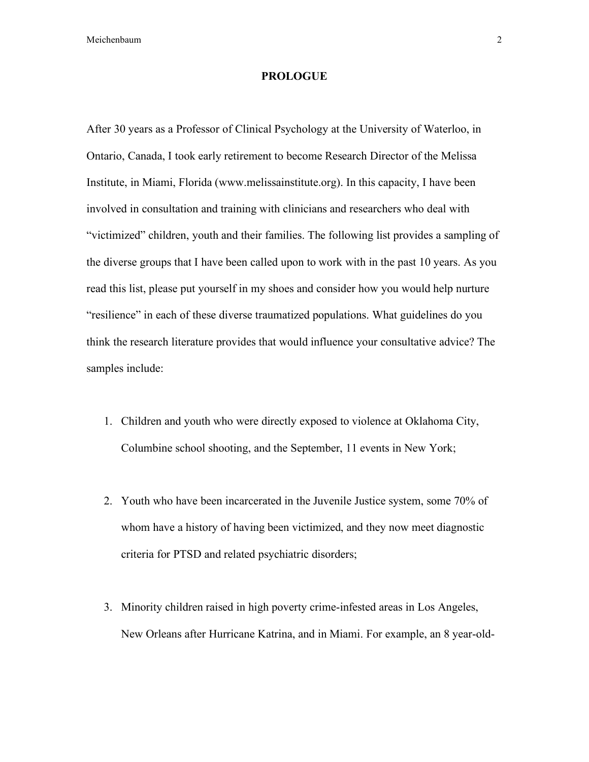#### **PROLOGUE**

After 30 years as a Professor of Clinical Psychology at the University of Waterloo, in Ontario, Canada, I took early retirement to become Research Director of the Melissa Institute, in Miami, Florida (www.melissainstitute.org). In this capacity, I have been involved in consultation and training with clinicians and researchers who deal with "victimized" children, youth and their families. The following list provides a sampling of the diverse groups that I have been called upon to work with in the past 10 years. As you read this list, please put yourself in my shoes and consider how you would help nurture "resilience" in each of these diverse traumatized populations. What guidelines do you think the research literature provides that would influence your consultative advice? The samples include:

- 1. Children and youth who were directly exposed to violence at Oklahoma City, Columbine school shooting, and the September, 11 events in New York;
- 2. Youth who have been incarcerated in the Juvenile Justice system, some 70% of whom have a history of having been victimized, and they now meet diagnostic criteria for PTSD and related psychiatric disorders;
- 3. Minority children raised in high poverty crime-infested areas in Los Angeles, New Orleans after Hurricane Katrina, and in Miami. For example, an 8 year-old-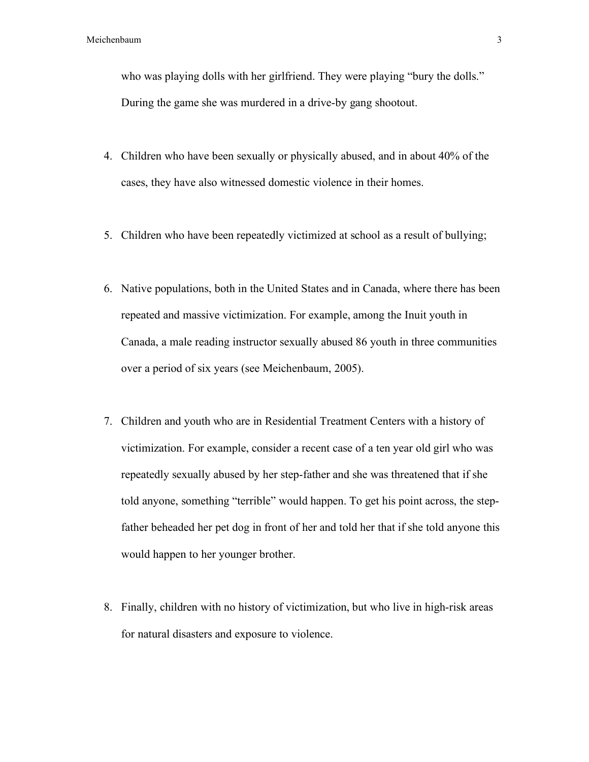who was playing dolls with her girlfriend. They were playing "bury the dolls." During the game she was murdered in a drive-by gang shootout.

- 4. Children who have been sexually or physically abused, and in about 40% of the cases, they have also witnessed domestic violence in their homes.
- 5. Children who have been repeatedly victimized at school as a result of bullying;
- 6. Native populations, both in the United States and in Canada, where there has been repeated and massive victimization. For example, among the Inuit youth in Canada, a male reading instructor sexually abused 86 youth in three communities over a period of six years (see Meichenbaum, 2005).
- 7. Children and youth who are in Residential Treatment Centers with a history of victimization. For example, consider a recent case of a ten year old girl who was repeatedly sexually abused by her step-father and she was threatened that if she told anyone, something "terrible" would happen. To get his point across, the stepfather beheaded her pet dog in front of her and told her that if she told anyone this would happen to her younger brother.
- 8. Finally, children with no history of victimization, but who live in high-risk areas for natural disasters and exposure to violence.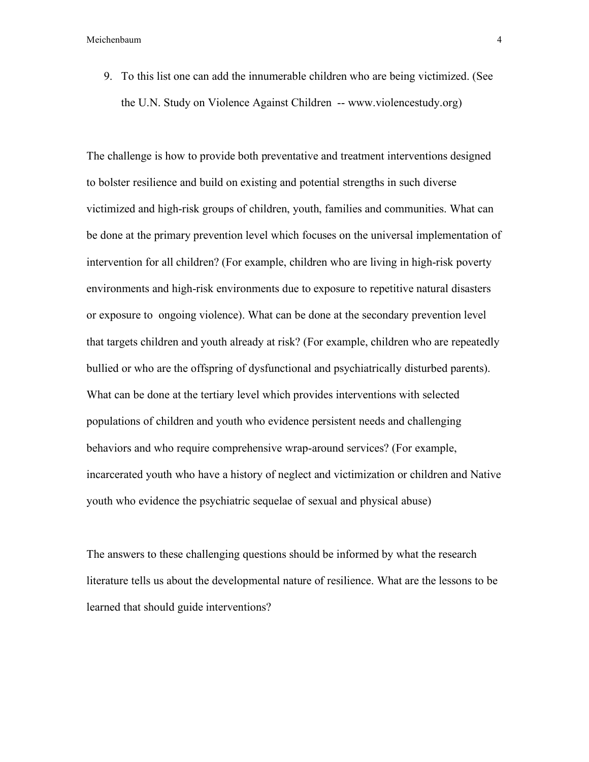9. To this list one can add the innumerable children who are being victimized. (See the U.N. Study on Violence Against Children -- www.violencestudy.org)

The challenge is how to provide both preventative and treatment interventions designed to bolster resilience and build on existing and potential strengths in such diverse victimized and high-risk groups of children, youth, families and communities. What can be done at the primary prevention level which focuses on the universal implementation of intervention for all children? (For example, children who are living in high-risk poverty environments and high-risk environments due to exposure to repetitive natural disasters or exposure to ongoing violence). What can be done at the secondary prevention level that targets children and youth already at risk? (For example, children who are repeatedly bullied or who are the offspring of dysfunctional and psychiatrically disturbed parents). What can be done at the tertiary level which provides interventions with selected populations of children and youth who evidence persistent needs and challenging behaviors and who require comprehensive wrap-around services? (For example, incarcerated youth who have a history of neglect and victimization or children and Native youth who evidence the psychiatric sequelae of sexual and physical abuse)

The answers to these challenging questions should be informed by what the research literature tells us about the developmental nature of resilience. What are the lessons to be learned that should guide interventions?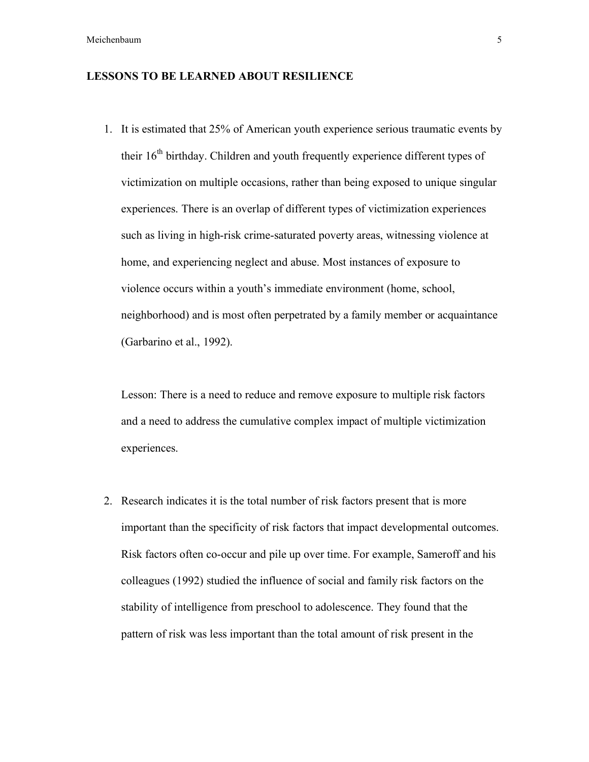### **LESSONS TO BE LEARNED ABOUT RESILIENCE**

1. It is estimated that 25% of American youth experience serious traumatic events by their  $16<sup>th</sup>$  birthday. Children and youth frequently experience different types of victimization on multiple occasions, rather than being exposed to unique singular experiences. There is an overlap of different types of victimization experiences such as living in high-risk crime-saturated poverty areas, witnessing violence at home, and experiencing neglect and abuse. Most instances of exposure to violence occurs within a youth's immediate environment (home, school, neighborhood) and is most often perpetrated by a family member or acquaintance (Garbarino et al., 1992).

Lesson: There is a need to reduce and remove exposure to multiple risk factors and a need to address the cumulative complex impact of multiple victimization experiences.

2. Research indicates it is the total number of risk factors present that is more important than the specificity of risk factors that impact developmental outcomes. Risk factors often co-occur and pile up over time. For example, Sameroff and his colleagues (1992) studied the influence of social and family risk factors on the stability of intelligence from preschool to adolescence. They found that the pattern of risk was less important than the total amount of risk present in the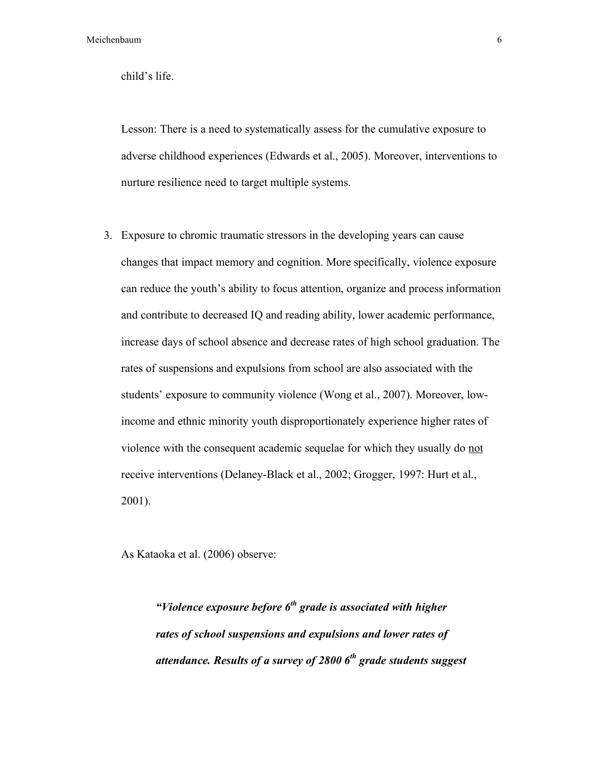child's life.

Lesson: There is a need to systematically assess for the cumulative exposure to adverse childhood experiences (Edwards et al., 2005). Moreover, interventions to nurture resilience need to target multiple systems.

3. Exposure to chromic traumatic stressors in the developing years can cause changes that impact memory and cognition. More specifically, violence exposure can reduce the youth's ability to focus attention, organize and process information and contribute to decreased IQ and reading ability, lower academic performance, increase days of school absence and decrease rates of high school graduation. The rates of suspensions and expulsions from school are also associated with the students' exposure to community violence (Wong et al., 2007). Moreover, lowincome and ethnic minority youth disproportionately experience higher rates of violence with the consequent academic sequelae for which they usually do not receive interventions (Delaney-Black et al., 2002; Grogger, 1997: Hurt et al., 2001).

As Kataoka et al. (2006) observe:

*"Violence exposure before 6th grade is associated with higher rates of school suspensions and expulsions and lower rates of attendance. Results of a survey of 2800 6th grade students suggest*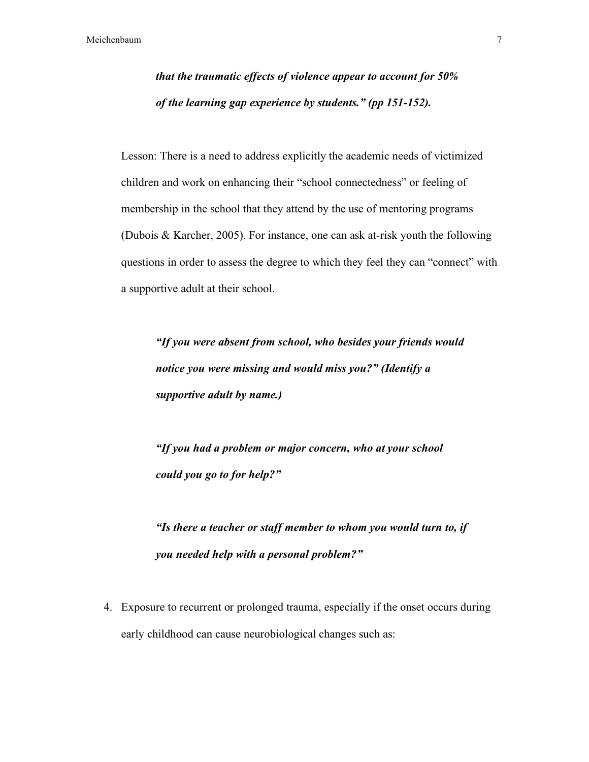*that the traumatic effects of violence appear to account for 50% of the learning gap experience by students." (pp 151-152).*

Lesson: There is a need to address explicitly the academic needs of victimized children and work on enhancing their "school connectedness" or feeling of membership in the school that they attend by the use of mentoring programs (Dubois & Karcher, 2005). For instance, one can ask at-risk youth the following questions in order to assess the degree to which they feel they can "connect" with a supportive adult at their school.

*"If you were absent from school, who besides your friends would notice you were missing and would miss you?" (Identify a supportive adult by name.)*

*"If you had a problem or major concern, who at your school could you go to for help?"*

*"Is there a teacher or staff member to whom you would turn to, if you needed help with a personal problem?"*

4. Exposure to recurrent or prolonged trauma, especially if the onset occurs during early childhood can cause neurobiological changes such as: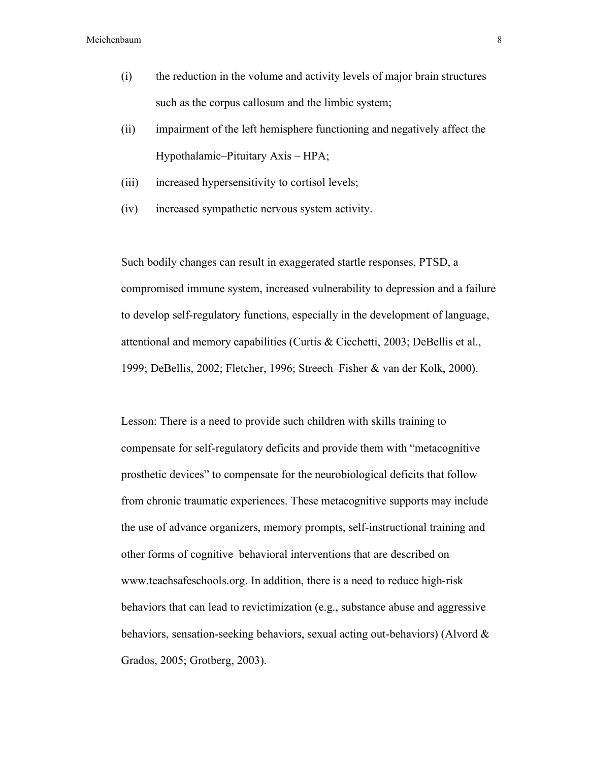- (i) the reduction in the volume and activity levels of major brain structures such as the corpus callosum and the limbic system;
- (ii) impairment of the left hemisphere functioning and negatively affect the Hypothalamic–Pituitary Axis – HPA;
- (iii) increased hypersensitivity to cortisol levels;
- (iv) increased sympathetic nervous system activity.

Such bodily changes can result in exaggerated startle responses, PTSD, a compromised immune system, increased vulnerability to depression and a failure to develop self-regulatory functions, especially in the development of language, attentional and memory capabilities (Curtis & Cicchetti, 2003; DeBellis et al., 1999; DeBellis, 2002; Fletcher, 1996; Streech–Fisher & van der Kolk, 2000).

Lesson: There is a need to provide such children with skills training to compensate for self-regulatory deficits and provide them with "metacognitive prosthetic devices" to compensate for the neurobiological deficits that follow from chronic traumatic experiences. These metacognitive supports may include the use of advance organizers, memory prompts, self-instructional training and other forms of cognitive–behavioral interventions that are described on www.teachsafeschools.org. In addition, there is a need to reduce high-risk behaviors that can lead to revictimization (e.g., substance abuse and aggressive behaviors, sensation-seeking behaviors, sexual acting out-behaviors) (Alvord & Grados, 2005; Grotberg, 2003).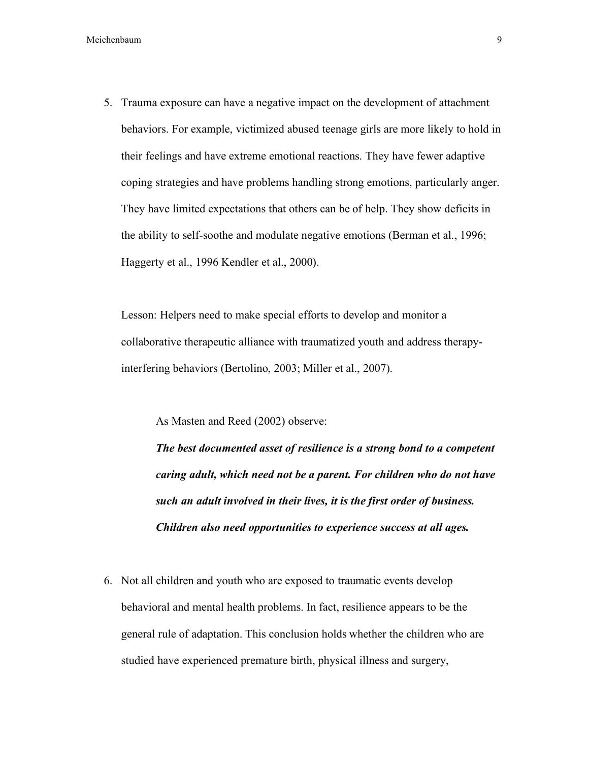5. Trauma exposure can have a negative impact on the development of attachment behaviors. For example, victimized abused teenage girls are more likely to hold in their feelings and have extreme emotional reactions. They have fewer adaptive coping strategies and have problems handling strong emotions, particularly anger. They have limited expectations that others can be of help. They show deficits in the ability to self-soothe and modulate negative emotions (Berman et al., 1996; Haggerty et al., 1996 Kendler et al., 2000).

Lesson: Helpers need to make special efforts to develop and monitor a collaborative therapeutic alliance with traumatized youth and address therapyinterfering behaviors (Bertolino, 2003; Miller et al., 2007).

As Masten and Reed (2002) observe:

*The best documented asset of resilience is a strong bond to a competent caring adult, which need not be a parent. For children who do not have such an adult involved in their lives, it is the first order of business. Children also need opportunities to experience success at all ages.*

6. Not all children and youth who are exposed to traumatic events develop behavioral and mental health problems. In fact, resilience appears to be the general rule of adaptation. This conclusion holds whether the children who are studied have experienced premature birth, physical illness and surgery,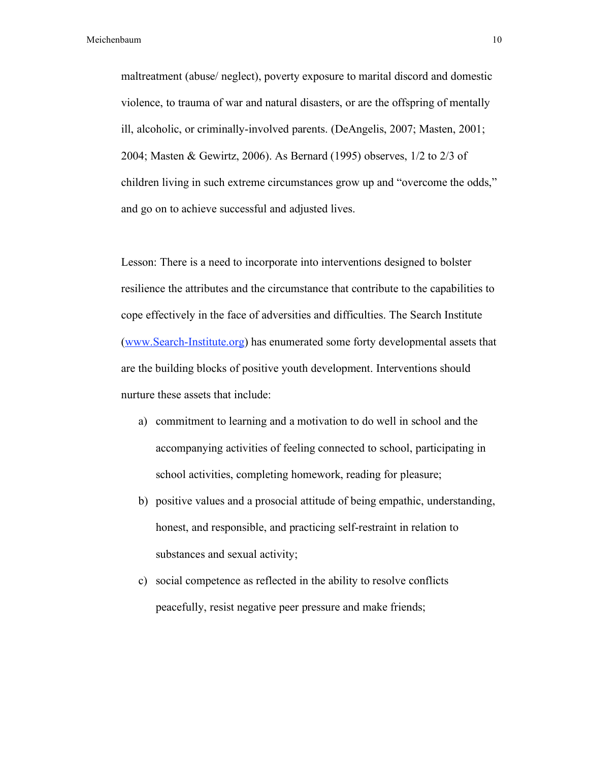maltreatment (abuse/ neglect), poverty exposure to marital discord and domestic violence, to trauma of war and natural disasters, or are the offspring of mentally ill, alcoholic, or criminally-involved parents. (DeAngelis, 2007; Masten, 2001; 2004; Masten & Gewirtz, 2006). As Bernard (1995) observes, 1/2 to 2/3 of children living in such extreme circumstances grow up and "overcome the odds," and go on to achieve successful and adjusted lives.

Lesson: There is a need to incorporate into interventions designed to bolster resilience the attributes and the circumstance that contribute to the capabilities to cope effectively in the face of adversities and difficulties. The Search Institute (www.Search-Institute.org) has enumerated some forty developmental assets that are the building blocks of positive youth development. Interventions should nurture these assets that include:

- a) commitment to learning and a motivation to do well in school and the accompanying activities of feeling connected to school, participating in school activities, completing homework, reading for pleasure;
- b) positive values and a prosocial attitude of being empathic, understanding, honest, and responsible, and practicing self-restraint in relation to substances and sexual activity;
- c) social competence as reflected in the ability to resolve conflicts peacefully, resist negative peer pressure and make friends;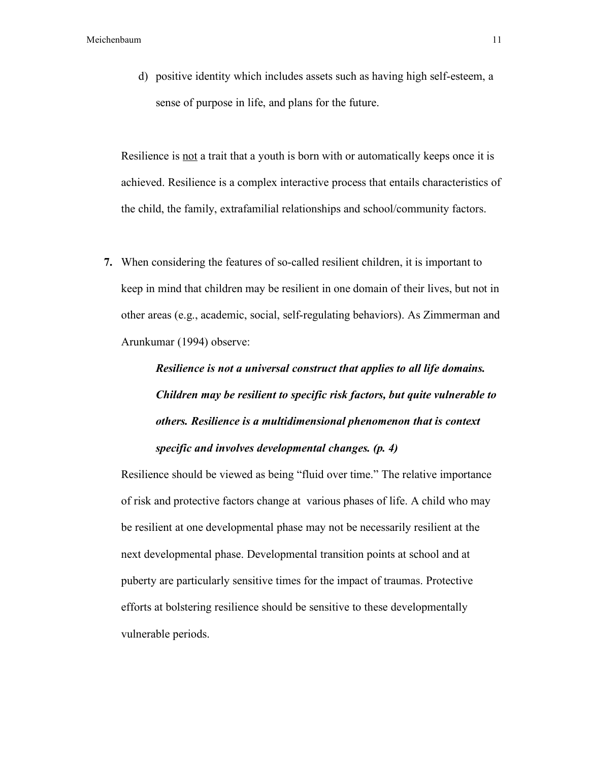d) positive identity which includes assets such as having high self-esteem, a sense of purpose in life, and plans for the future.

Resilience is not a trait that a youth is born with or automatically keeps once it is achieved. Resilience is a complex interactive process that entails characteristics of the child, the family, extrafamilial relationships and school/community factors.

**7.** When considering the features of so-called resilient children, it is important to keep in mind that children may be resilient in one domain of their lives, but not in other areas (e.g., academic, social, self-regulating behaviors). As Zimmerman and Arunkumar (1994) observe:

# *Resilience is not a universal construct that applies to all life domains. Children may be resilient to specific risk factors, but quite vulnerable to others. Resilience is a multidimensional phenomenon that is context specific and involves developmental changes. (p. 4)*

Resilience should be viewed as being "fluid over time." The relative importance of risk and protective factors change at various phases of life. A child who may be resilient at one developmental phase may not be necessarily resilient at the next developmental phase. Developmental transition points at school and at puberty are particularly sensitive times for the impact of traumas. Protective efforts at bolstering resilience should be sensitive to these developmentally vulnerable periods.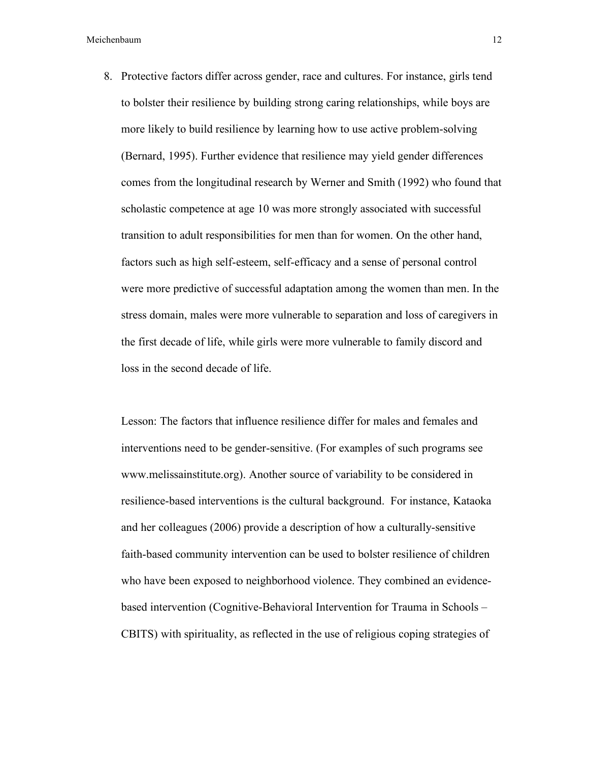8. Protective factors differ across gender, race and cultures. For instance, girls tend to bolster their resilience by building strong caring relationships, while boys are more likely to build resilience by learning how to use active problem-solving (Bernard, 1995). Further evidence that resilience may yield gender differences comes from the longitudinal research by Werner and Smith (1992) who found that scholastic competence at age 10 was more strongly associated with successful transition to adult responsibilities for men than for women. On the other hand, factors such as high self-esteem, self-efficacy and a sense of personal control were more predictive of successful adaptation among the women than men. In the stress domain, males were more vulnerable to separation and loss of caregivers in the first decade of life, while girls were more vulnerable to family discord and loss in the second decade of life.

Lesson: The factors that influence resilience differ for males and females and interventions need to be gender-sensitive. (For examples of such programs see www.melissainstitute.org). Another source of variability to be considered in resilience-based interventions is the cultural background. For instance, Kataoka and her colleagues (2006) provide a description of how a culturally-sensitive faith-based community intervention can be used to bolster resilience of children who have been exposed to neighborhood violence. They combined an evidencebased intervention (Cognitive-Behavioral Intervention for Trauma in Schools – CBITS) with spirituality, as reflected in the use of religious coping strategies of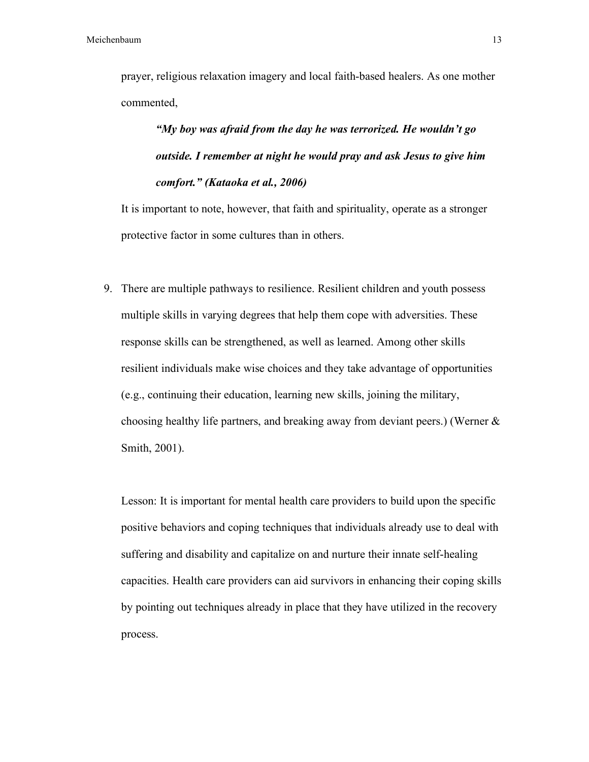prayer, religious relaxation imagery and local faith-based healers. As one mother commented,

*"My boy was afraid from the day he was terrorized. He wouldn't go outside. I remember at night he would pray and ask Jesus to give him comfort." (Kataoka et al., 2006)*

It is important to note, however, that faith and spirituality, operate as a stronger protective factor in some cultures than in others.

9. There are multiple pathways to resilience. Resilient children and youth possess multiple skills in varying degrees that help them cope with adversities. These response skills can be strengthened, as well as learned. Among other skills resilient individuals make wise choices and they take advantage of opportunities (e.g., continuing their education, learning new skills, joining the military, choosing healthy life partners, and breaking away from deviant peers.) (Werner & Smith, 2001).

Lesson: It is important for mental health care providers to build upon the specific positive behaviors and coping techniques that individuals already use to deal with suffering and disability and capitalize on and nurture their innate self-healing capacities. Health care providers can aid survivors in enhancing their coping skills by pointing out techniques already in place that they have utilized in the recovery process.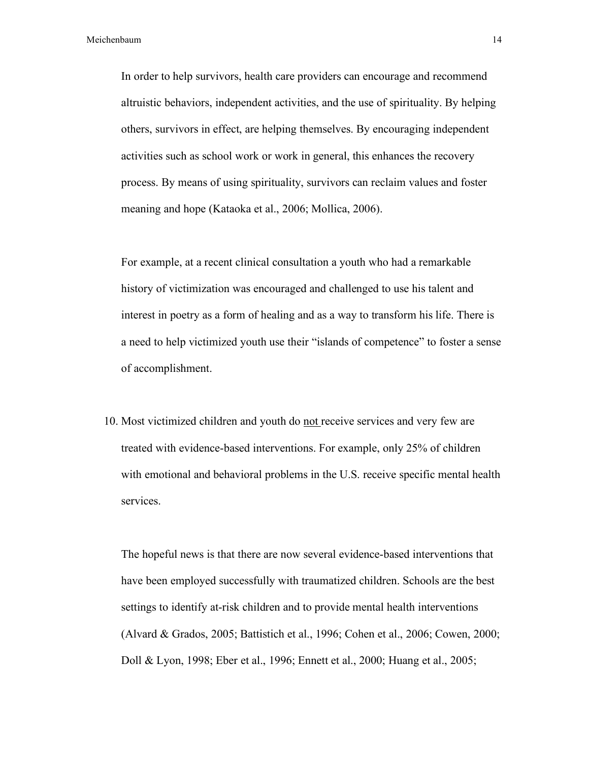In order to help survivors, health care providers can encourage and recommend altruistic behaviors, independent activities, and the use of spirituality. By helping others, survivors in effect, are helping themselves. By encouraging independent activities such as school work or work in general, this enhances the recovery process. By means of using spirituality, survivors can reclaim values and foster meaning and hope (Kataoka et al., 2006; Mollica, 2006).

For example, at a recent clinical consultation a youth who had a remarkable history of victimization was encouraged and challenged to use his talent and interest in poetry as a form of healing and as a way to transform his life. There is a need to help victimized youth use their "islands of competence" to foster a sense of accomplishment.

10. Most victimized children and youth do not receive services and very few are treated with evidence-based interventions. For example, only 25% of children with emotional and behavioral problems in the U.S. receive specific mental health services.

The hopeful news is that there are now several evidence-based interventions that have been employed successfully with traumatized children. Schools are the best settings to identify at-risk children and to provide mental health interventions (Alvard & Grados, 2005; Battistich et al., 1996; Cohen et al., 2006; Cowen, 2000; Doll & Lyon, 1998; Eber et al., 1996; Ennett et al., 2000; Huang et al., 2005;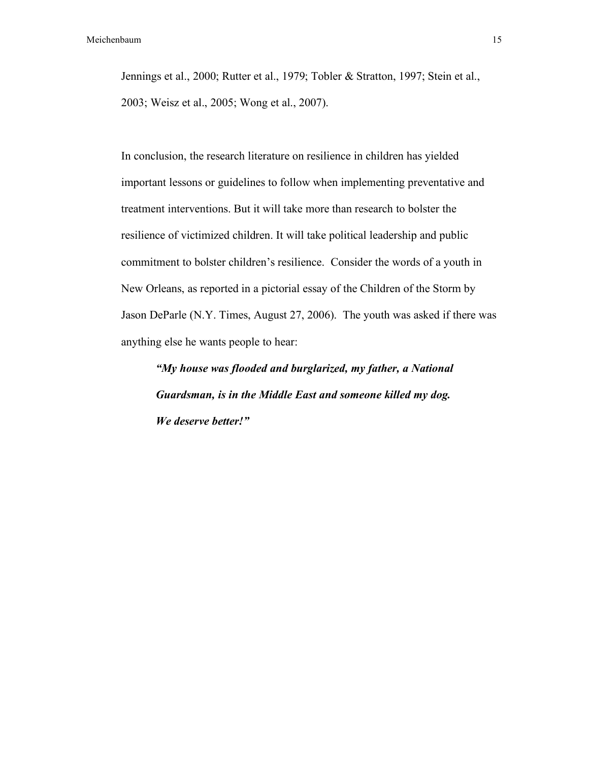Jennings et al., 2000; Rutter et al., 1979; Tobler & Stratton, 1997; Stein et al., 2003; Weisz et al., 2005; Wong et al., 2007).

In conclusion, the research literature on resilience in children has yielded important lessons or guidelines to follow when implementing preventative and treatment interventions. But it will take more than research to bolster the resilience of victimized children. It will take political leadership and public commitment to bolster children's resilience. Consider the words of a youth in New Orleans, as reported in a pictorial essay of the Children of the Storm by Jason DeParle (N.Y. Times, August 27, 2006). The youth was asked if there was anything else he wants people to hear:

*"My house was flooded and burglarized, my father, a National Guardsman, is in the Middle East and someone killed my dog. We deserve better!"*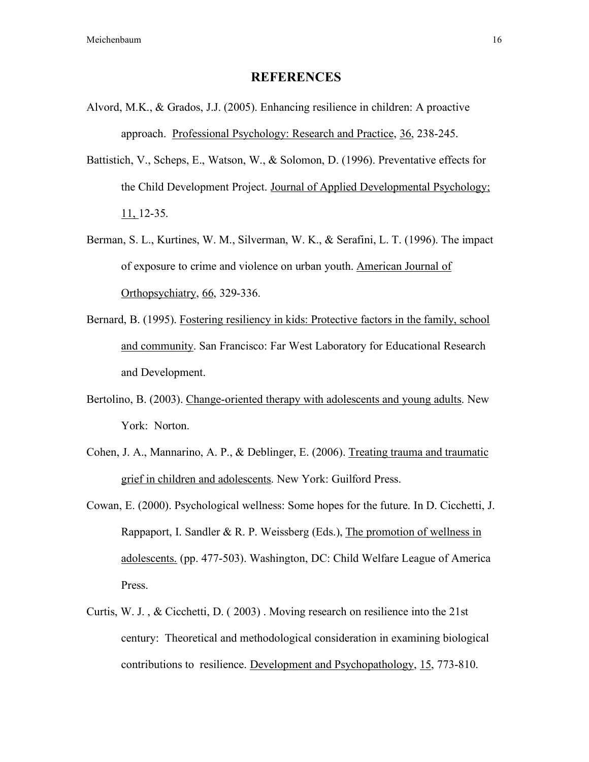### **REFERENCES**

- Alvord, M.K., & Grados, J.J. (2005). Enhancing resilience in children: A proactive approach. Professional Psychology: Research and Practice, 36, 238-245.
- Battistich, V., Scheps, E., Watson, W., & Solomon, D. (1996). Preventative effects for the Child Development Project. Journal of Applied Developmental Psychology; 11, 12-35.
- Berman, S. L., Kurtines, W. M., Silverman, W. K., & Serafini, L. T. (1996). The impact of exposure to crime and violence on urban youth. American Journal of Orthopsychiatry, 66, 329-336.
- Bernard, B. (1995). Fostering resiliency in kids: Protective factors in the family, school and community. San Francisco: Far West Laboratory for Educational Research and Development.
- Bertolino, B. (2003). Change-oriented therapy with adolescents and young adults. New York: Norton.
- Cohen, J. A., Mannarino, A. P., & Deblinger, E. (2006). Treating trauma and traumatic grief in children and adolescents. New York: Guilford Press.
- Cowan, E. (2000). Psychological wellness: Some hopes for the future. In D. Cicchetti, J. Rappaport, I. Sandler & R. P. Weissberg (Eds.), The promotion of wellness in adolescents. (pp. 477-503). Washington, DC: Child Welfare League of America Press.
- Curtis, W. J. , & Cicchetti, D. ( 2003) . Moving research on resilience into the 21st century: Theoretical and methodological consideration in examining biological contributions to resilience. Development and Psychopathology, 15, 773-810.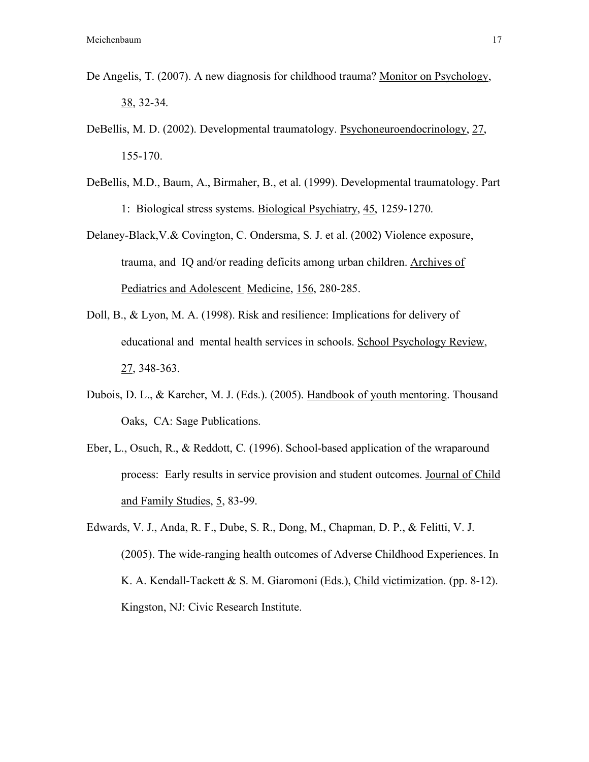- De Angelis, T. (2007). A new diagnosis for childhood trauma? Monitor on Psychology, 38, 32-34.
- DeBellis, M. D. (2002). Developmental traumatology. Psychoneuroendocrinology, 27, 155-170.
- DeBellis, M.D., Baum, A., Birmaher, B., et al. (1999). Developmental traumatology. Part 1: Biological stress systems. Biological Psychiatry, 45, 1259-1270.
- Delaney-Black,V.& Covington, C. Ondersma, S. J. et al. (2002) Violence exposure, trauma, and IQ and/or reading deficits among urban children. Archives of Pediatrics and Adolescent Medicine, 156, 280-285.
- Doll, B., & Lyon, M. A. (1998). Risk and resilience: Implications for delivery of educational and mental health services in schools. School Psychology Review, 27, 348-363.
- Dubois, D. L., & Karcher, M. J. (Eds.). (2005). Handbook of youth mentoring. Thousand Oaks, CA: Sage Publications.
- Eber, L., Osuch, R., & Reddott, C. (1996). School-based application of the wraparound process: Early results in service provision and student outcomes. Journal of Child and Family Studies, 5, 83-99.
- Edwards, V. J., Anda, R. F., Dube, S. R., Dong, M., Chapman, D. P., & Felitti, V. J. (2005). The wide-ranging health outcomes of Adverse Childhood Experiences. In K. A. Kendall-Tackett & S. M. Giaromoni (Eds.), Child victimization. (pp. 8-12). Kingston, NJ: Civic Research Institute.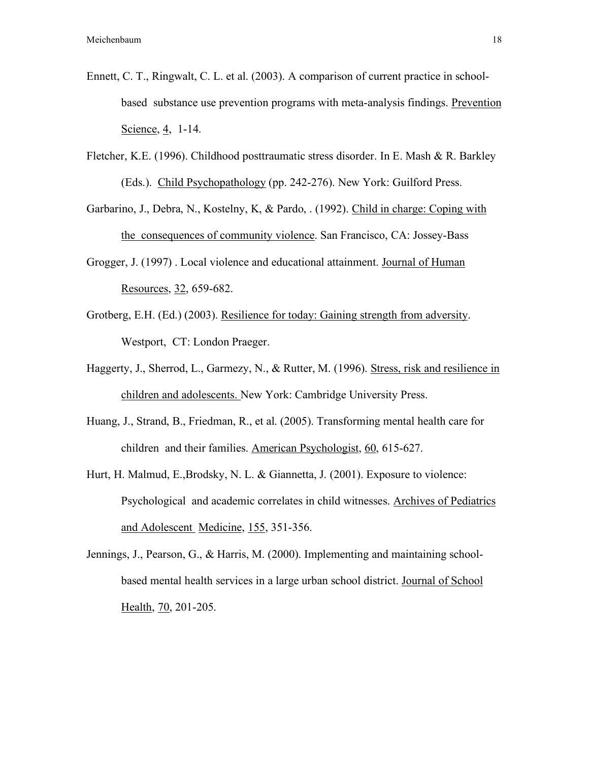- Ennett, C. T., Ringwalt, C. L. et al. (2003). A comparison of current practice in schoolbased substance use prevention programs with meta-analysis findings. Prevention Science, 4, 1-14.
- Fletcher, K.E. (1996). Childhood posttraumatic stress disorder. In E. Mash & R. Barkley (Eds.). Child Psychopathology (pp. 242-276). New York: Guilford Press.
- Garbarino, J., Debra, N., Kostelny, K, & Pardo, . (1992). Child in charge: Coping with the consequences of community violence. San Francisco, CA: Jossey-Bass
- Grogger, J. (1997) . Local violence and educational attainment. Journal of Human Resources, 32, 659-682.
- Grotberg, E.H. (Ed.) (2003). Resilience for today: Gaining strength from adversity. Westport, CT: London Praeger.
- Haggerty, J., Sherrod, L., Garmezy, N., & Rutter, M. (1996). Stress, risk and resilience in children and adolescents. New York: Cambridge University Press.
- Huang, J., Strand, B., Friedman, R., et al. (2005). Transforming mental health care for children and their families. American Psychologist, 60, 615-627.
- Hurt, H. Malmud, E.,Brodsky, N. L. & Giannetta, J. (2001). Exposure to violence: Psychological and academic correlates in child witnesses. Archives of Pediatrics and Adolescent Medicine, 155, 351-356.
- Jennings, J., Pearson, G., & Harris, M. (2000). Implementing and maintaining schoolbased mental health services in a large urban school district. Journal of School Health, 70, 201-205.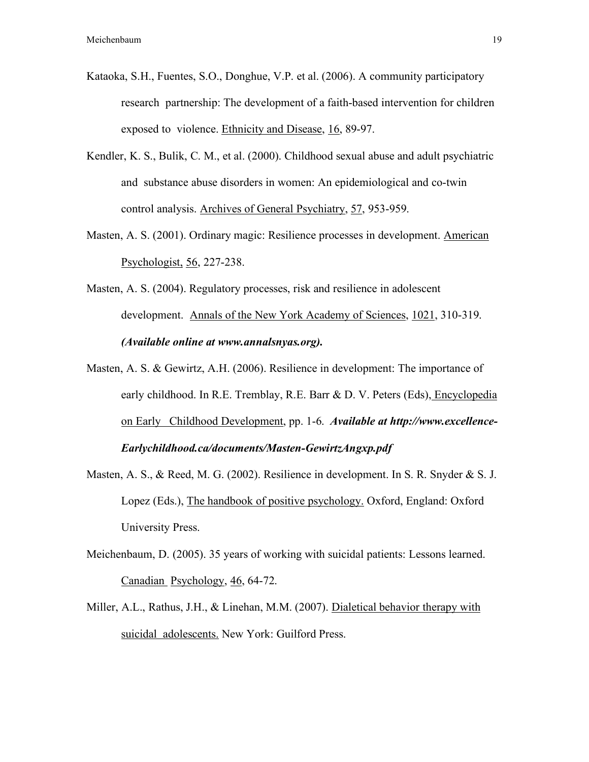- Kataoka, S.H., Fuentes, S.O., Donghue, V.P. et al. (2006). A community participatory research partnership: The development of a faith-based intervention for children exposed to violence. Ethnicity and Disease, 16, 89-97.
- Kendler, K. S., Bulik, C. M., et al. (2000). Childhood sexual abuse and adult psychiatric and substance abuse disorders in women: An epidemiological and co-twin control analysis. Archives of General Psychiatry, 57, 953-959.
- Masten, A. S. (2001). Ordinary magic: Resilience processes in development. American Psychologist, 56, 227-238.
- Masten, A. S. (2004). Regulatory processes, risk and resilience in adolescent development. Annals of the New York Academy of Sciences, 1021, 310-319. *(Available online at www.annalsnyas.org).*
- Masten, A. S. & Gewirtz, A.H. (2006). Resilience in development: The importance of early childhood. In R.E. Tremblay, R.E. Barr & D. V. Peters (Eds), Encyclopedia on Early Childhood Development, pp. 1-6. *Available at http://www.excellence-Earlychildhood.ca/documents/Masten-GewirtzAngxp.pdf*
- Masten, A. S., & Reed, M. G. (2002). Resilience in development. In S. R. Snyder & S. J. Lopez (Eds.), The handbook of positive psychology. Oxford, England: Oxford University Press.
- Meichenbaum, D. (2005). 35 years of working with suicidal patients: Lessons learned. Canadian Psychology, 46, 64-72.
- Miller, A.L., Rathus, J.H., & Linehan, M.M. (2007). Dialetical behavior therapy with suicidal adolescents. New York: Guilford Press.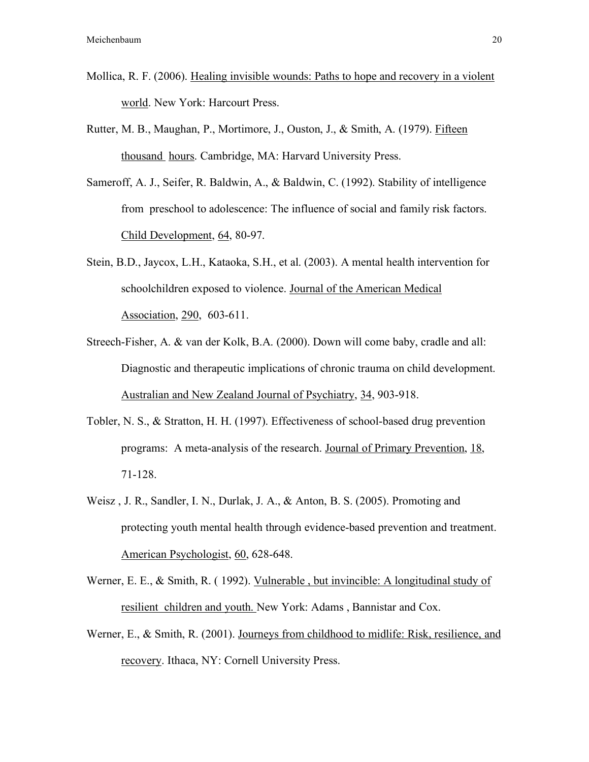- Mollica, R. F. (2006). Healing invisible wounds: Paths to hope and recovery in a violent world. New York: Harcourt Press.
- Rutter, M. B., Maughan, P., Mortimore, J., Ouston, J., & Smith, A. (1979). Fifteen thousand hours. Cambridge, MA: Harvard University Press.
- Sameroff, A. J., Seifer, R. Baldwin, A., & Baldwin, C. (1992). Stability of intelligence from preschool to adolescence: The influence of social and family risk factors. Child Development, 64, 80-97.
- Stein, B.D., Jaycox, L.H., Kataoka, S.H., et al. (2003). A mental health intervention for schoolchildren exposed to violence. Journal of the American Medical Association, 290, 603-611.
- Streech-Fisher, A. & van der Kolk, B.A. (2000). Down will come baby, cradle and all: Diagnostic and therapeutic implications of chronic trauma on child development. Australian and New Zealand Journal of Psychiatry, 34, 903-918.
- Tobler, N. S., & Stratton, H. H. (1997). Effectiveness of school-based drug prevention programs: A meta-analysis of the research. Journal of Primary Prevention, 18, 71-128.
- Weisz , J. R., Sandler, I. N., Durlak, J. A., & Anton, B. S. (2005). Promoting and protecting youth mental health through evidence-based prevention and treatment. American Psychologist, 60, 628-648.
- Werner, E. E., & Smith, R. ( 1992). Vulnerable , but invincible: A longitudinal study of resilient children and youth. New York: Adams , Bannistar and Cox.
- Werner, E., & Smith, R. (2001). Journeys from childhood to midlife: Risk, resilience, and recovery. Ithaca, NY: Cornell University Press.